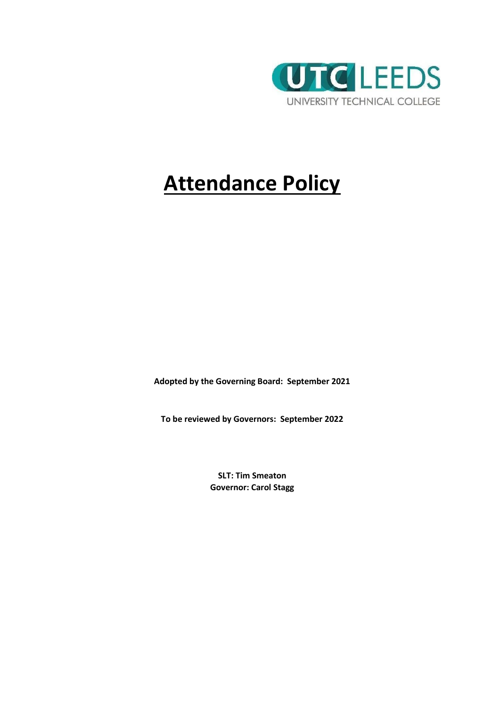

# **Attendance Policy**

**Adopted by the Governing Board: September 2021**

**To be reviewed by Governors: September 2022**

**SLT: Tim Smeaton Governor: Carol Stagg**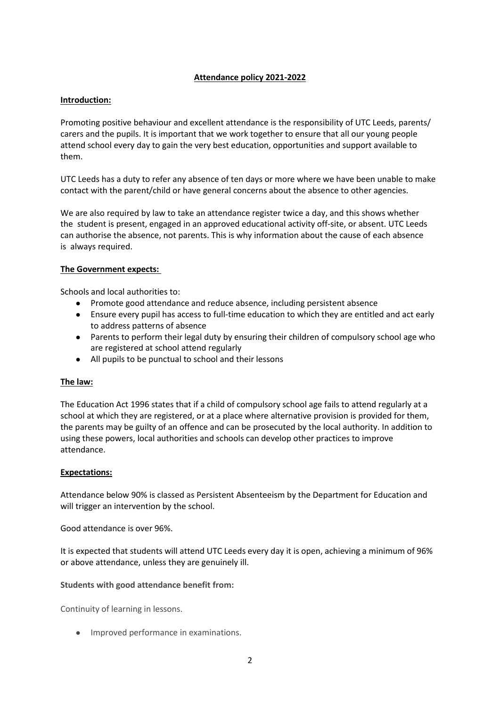# **Attendance policy 2021-2022**

## **Introduction:**

Promoting positive behaviour and excellent attendance is the responsibility of UTC Leeds, parents/ carers and the pupils. It is important that we work together to ensure that all our young people attend school every day to gain the very best education, opportunities and support available to them.

UTC Leeds has a duty to refer any absence of ten days or more where we have been unable to make contact with the parent/child or have general concerns about the absence to other agencies.

We are also required by law to take an attendance register twice a day, and this shows whether the student is present, engaged in an approved educational activity off-site, or absent. UTC Leeds can authorise the absence, not parents. This is why information about the cause of each absence is always required.

## **The Government expects:**

Schools and local authorities to:

- Promote good attendance and reduce absence, including persistent absence
- Ensure every pupil has access to full-time education to which they are entitled and act early to address patterns of absence
- Parents to perform their legal duty by ensuring their children of compulsory school age who are registered at school attend regularly
- All pupils to be punctual to school and their lessons

## **The law:**

The Education Act 1996 states that if a child of compulsory school age fails to attend regularly at a school at which they are registered, or at a place where alternative provision is provided for them, the parents may be guilty of an offence and can be prosecuted by the local authority. In addition to using these powers, local authorities and schools can develop other practices to improve attendance.

## **Expectations:**

Attendance below 90% is classed as Persistent Absenteeism by the Department for Education and will trigger an intervention by the school.

Good attendance is over 96%.

It is expected that students will attend UTC Leeds every day it is open, achieving a minimum of 96% or above attendance, unless they are genuinely ill.

**Students with good attendance benefit from:** 

Continuity of learning in lessons.

● Improved performance in examinations.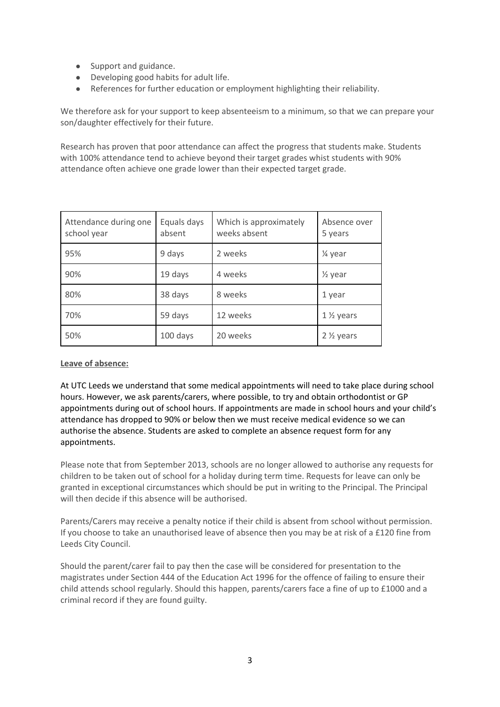- Support and guidance.
- Developing good habits for adult life.
- References for further education or employment highlighting their reliability.

We therefore ask for your support to keep absenteeism to a minimum, so that we can prepare your son/daughter effectively for their future.

Research has proven that poor attendance can affect the progress that students make. Students with 100% attendance tend to achieve beyond their target grades whist students with 90% attendance often achieve one grade lower than their expected target grade.

| Attendance during one<br>school year | Equals days<br>absent | Which is approximately<br>weeks absent | Absence over<br>5 years |
|--------------------------------------|-----------------------|----------------------------------------|-------------------------|
| 95%                                  | 9 days                | 2 weeks                                | 1⁄4 year                |
| 90%                                  | 19 days               | 4 weeks                                | $\frac{1}{2}$ year      |
| 80%                                  | 38 days               | 8 weeks                                | 1 year                  |
| 70%                                  | 59 days               | 12 weeks                               | $1\frac{1}{2}$ years    |
| 50%                                  | 100 days              | 20 weeks                               | $2 \frac{1}{2}$ years   |

**Leave of absence:**

At UTC Leeds we understand that some medical appointments will need to take place during school hours. However, we ask parents/carers, where possible, to try and obtain orthodontist or GP appointments during out of school hours. If appointments are made in school hours and your child's attendance has dropped to 90% or below then we must receive medical evidence so we can authorise the absence. Students are asked to complete an absence request form for any appointments.

Please note that from September 2013, schools are no longer allowed to authorise any requests for children to be taken out of school for a holiday during term time. Requests for leave can only be granted in exceptional circumstances which should be put in writing to the Principal. The Principal will then decide if this absence will be authorised.

Parents/Carers may receive a penalty notice if their child is absent from school without permission. If you choose to take an unauthorised leave of absence then you may be at risk of a £120 fine from Leeds City Council.

Should the parent/carer fail to pay then the case will be considered for presentation to the magistrates under Section 444 of the Education Act 1996 for the offence of failing to ensure their child attends school regularly. Should this happen, parents/carers face a fine of up to £1000 and a criminal record if they are found guilty.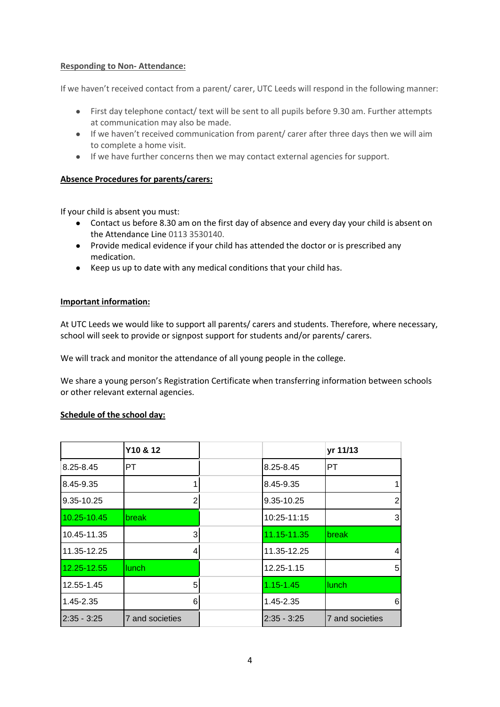# **Responding to Non- Attendance:**

If we haven't received contact from a parent/ carer, UTC Leeds will respond in the following manner:

- First day telephone contact/ text will be sent to all pupils before 9.30 am. Further attempts at communication may also be made.
- If we haven't received communication from parent/ carer after three days then we will aim to complete a home visit.
- If we have further concerns then we may contact external agencies for support.

## **Absence Procedures for parents/carers:**

If your child is absent you must:

- Contact us before 8.30 am on the first day of absence and every day your child is absent on the Attendance Line 0113 3530140.
- Provide medical evidence if your child has attended the doctor or is prescribed any medication.
- Keep us up to date with any medical conditions that your child has.

## **Important information:**

At UTC Leeds we would like to support all parents/ carers and students. Therefore, where necessary, school will seek to provide or signpost support for students and/or parents/ carers.

We will track and monitor the attendance of all young people in the college.

We share a young person's Registration Certificate when transferring information between schools or other relevant external agencies.

## **Schedule of the school day:**

|               | Y10 & 12        |               | yr 11/13        |
|---------------|-----------------|---------------|-----------------|
| 8.25-8.45     | PT.             | 8.25-8.45     | PT              |
| 8.45-9.35     |                 | 8.45-9.35     |                 |
| 9.35-10.25    | 2               | 9.35-10.25    | 2               |
| 10.25-10.45   | <b>break</b>    | 10:25-11:15   | 31              |
| 10.45-11.35   | 3               | 11.15-11.35   | break           |
| 11.35-12.25   | 4               | 11.35-12.25   | 4               |
| 12.25-12.55   | lunch           | 12.25-1.15    | 5               |
| 12.55-1.45    | 5               | $1.15 - 1.45$ | lunch           |
| 1.45-2.35     | 6               | 1.45-2.35     | $6 \mid$        |
| $2:35 - 3:25$ | 7 and societies | $2:35 - 3:25$ | 7 and societies |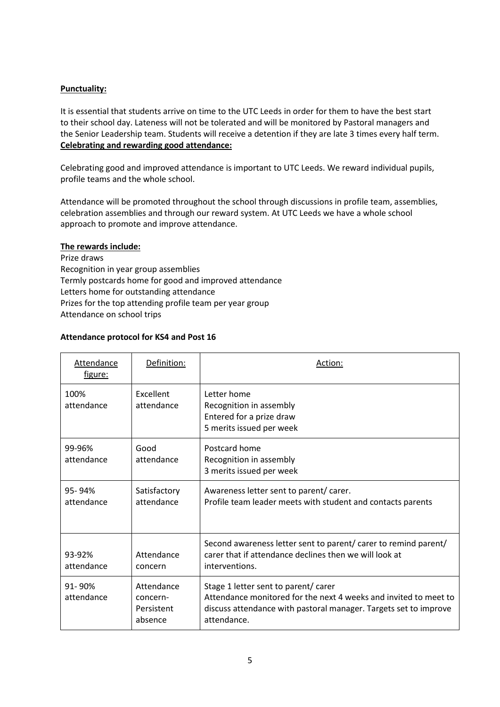# **Punctuality:**

It is essential that students arrive on time to the UTC Leeds in order for them to have the best start to their school day. Lateness will not be tolerated and will be monitored by Pastoral managers and the Senior Leadership team. Students will receive a detention if they are late 3 times every half term. **Celebrating and rewarding good attendance:**

Celebrating good and improved attendance is important to UTC Leeds. We reward individual pupils, profile teams and the whole school.

Attendance will be promoted throughout the school through discussions in profile team, assemblies, celebration assemblies and through our reward system. At UTC Leeds we have a whole school approach to promote and improve attendance.

## **The rewards include:**

Prize draws Recognition in year group assemblies Termly postcards home for good and improved attendance Letters home for outstanding attendance Prizes for the top attending profile team per year group Attendance on school trips

## **Attendance protocol for KS4 and Post 16**

| <b>Attendance</b><br>figure: | Definition:                                     | Action:                                                                                                                                                                                     |
|------------------------------|-------------------------------------------------|---------------------------------------------------------------------------------------------------------------------------------------------------------------------------------------------|
| 100%<br>attendance           | Excellent<br>attendance                         | Letter home<br>Recognition in assembly<br>Entered for a prize draw<br>5 merits issued per week                                                                                              |
| 99-96%<br>attendance         | Good<br>attendance                              | Postcard home<br>Recognition in assembly<br>3 merits issued per week                                                                                                                        |
| 95-94%<br>attendance         | Satisfactory<br>attendance                      | Awareness letter sent to parent/carer.<br>Profile team leader meets with student and contacts parents                                                                                       |
| 93-92%<br>attendance         | Attendance<br>concern                           | Second awareness letter sent to parent/ carer to remind parent/<br>carer that if attendance declines then we will look at<br>interventions.                                                 |
| 91-90%<br>attendance         | Attendance<br>concern-<br>Persistent<br>absence | Stage 1 letter sent to parent/ carer<br>Attendance monitored for the next 4 weeks and invited to meet to<br>discuss attendance with pastoral manager. Targets set to improve<br>attendance. |